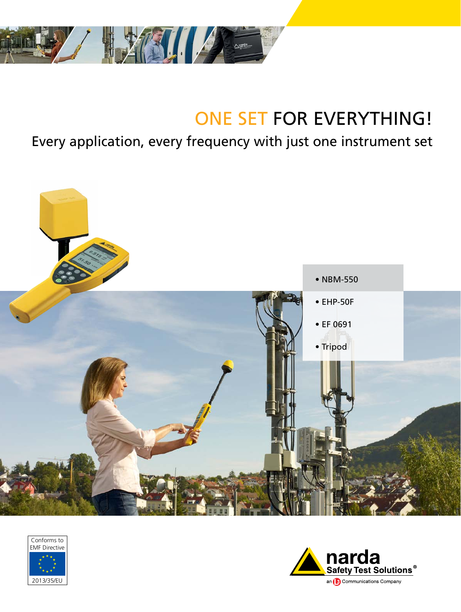

# ONE SET FOR EVERYTHING!

# Every application, every frequency with just one instrument set





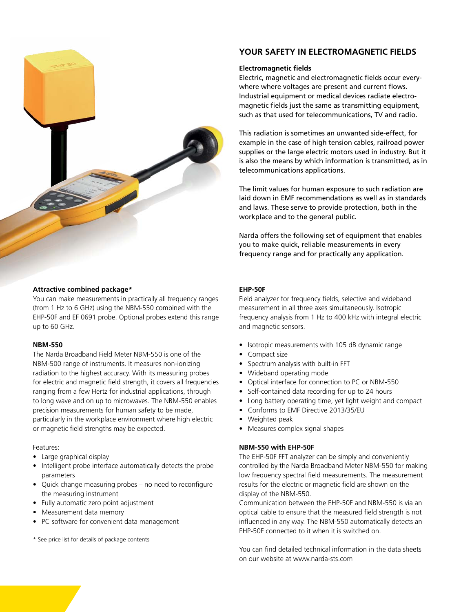

#### **Attractive combined package\***

You can make measurements in practically all frequency ranges (from 1 Hz to 6 GHz) using the NBM-550 combined with the EHP-50F and EF 0691 probe. Optional probes extend this range up to 60 GHz.

#### **NBM-550**

The Narda Broadband Field Meter NBM-550 is one of the NBM-500 range of instruments. It measures non-ionizing radiation to the highest accuracy. With its measuring probes for electric and magnetic field strength, it covers all frequencies ranging from a few Hertz for industrial applications, through to long wave and on up to microwaves. The NBM-550 enables precision measurements for human safety to be made, particularly in the workplace environment where high electric or magnetic field strengths may be expected.

#### Features:

- Large graphical display
- Intelligent probe interface automatically detects the probe parameters
- Quick change measuring probes no need to reconfigure the measuring instrument
- • Fully automatic zero point adjustment
- Measurement data memory
- PC software for convenient data management

\* See price list for details of package contents

## YOUR SAFETY IN ELECTROMAGNETIC FIELDS

#### **Electromagnetic fields**

Electric, magnetic and electromagnetic fields occur everywhere where voltages are present and current flows. Industrial equipment or medical devices radiate electromagnetic fields just the same as transmitting equipment, such as that used for telecommunications, TV and radio.

This radiation is sometimes an unwanted side-effect, for example in the case of high tension cables, railroad power supplies or the large electric motors used in industry. But it is also the means by which information is transmitted, as in telecommunications applications.

The limit values for human exposure to such radiation are laid down in EMF recommendations as well as in standards and laws. These serve to provide protection, both in the workplace and to the general public.

Narda offers the following set of equipment that enables you to make quick, reliable measurements in every frequency range and for practically any application.

#### **EHP-50F**

Field analyzer for frequency fields, selective and wideband measurement in all three axes simultaneously. Isotropic frequency analysis from 1 Hz to 400 kHz with integral electric and magnetic sensors.

- Isotropic measurements with 105 dB dynamic range
- Compact size
- Spectrum analysis with built-in FFT
- • Wideband operating mode
- Optical interface for connection to PC or NBM-550
- Self-contained data recording for up to 24 hours
- Long battery operating time, yet light weight and compact
- • Conforms to EMF Directive 2013/35/EU
- Weighted peak
- Measures complex signal shapes

#### **NBM-550 with EHP-50F**

The EHP-50F FFT analyzer can be simply and conveniently controlled by the Narda Broadband Meter NBM-550 for making low frequency spectral field measurements. The measurement results for the electric or magnetic field are shown on the display of the NBM-550.

Communication between the EHP-50F and NBM-550 is via an optical cable to ensure that the measured field strength is not influenced in any way. The NBM-550 automatically detects an EHP-50F connected to it when it is switched on.

You can find detailed technical information in the data sheets on our website at www.narda-sts.com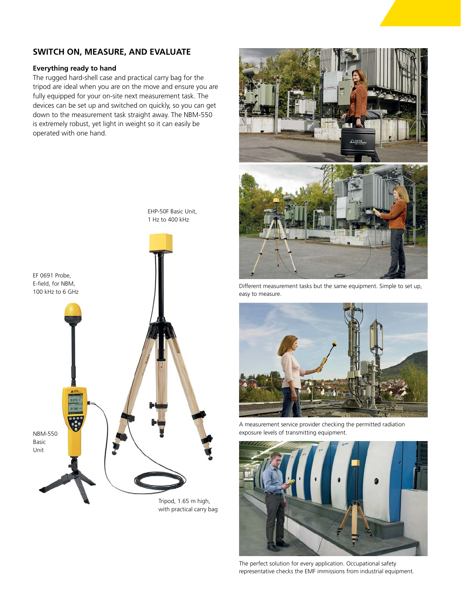# **SWITCH ON, MEASURE, AND EVALUATE**

#### **Everything ready to hand**

The rugged hard-shell case and practical carry bag for the tripod are ideal when you are on the move and ensure you are fully equipped for your on-site next measurement task. The devices can be set up and switched on quickly, so you can get down to the measurement task straight away. The NBM-550 is extremely robust, yet light in weight so it can easily be operated with one hand.



with practical carry bag



Different measurement tasks but the same equipment. Simple to set up, easy to measure.



A measurement service provider checking the permitted radiation exposure levels of transmitting equipment.



The perfect solution for every application. Occupational safety representative checks the EMF immissions from industrial equipment.